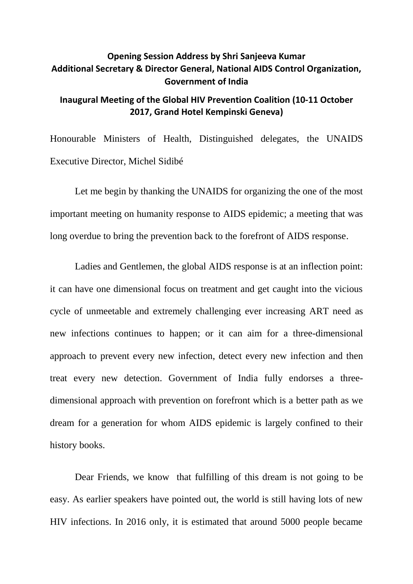## **Opening Session Address by Shri Sanjeeva Kumar Additional Secretary & Director General, National AIDS Control Organization, Government of India**

## **Inaugural Meeting of the Global HIV Prevention Coalition (10-11 October 2017, Grand Hotel Kempinski Geneva)**

Honourable Ministers of Health, Distinguished delegates, the UNAIDS Executive Director, Michel Sidibé

Let me begin by thanking the UNAIDS for organizing the one of the most important meeting on humanity response to AIDS epidemic; a meeting that was long overdue to bring the prevention back to the forefront of AIDS response.

Ladies and Gentlemen, the global AIDS response is at an inflection point: it can have one dimensional focus on treatment and get caught into the vicious cycle of unmeetable and extremely challenging ever increasing ART need as new infections continues to happen; or it can aim for a three-dimensional approach to prevent every new infection, detect every new infection and then treat every new detection. Government of India fully endorses a threedimensional approach with prevention on forefront which is a better path as we dream for a generation for whom AIDS epidemic is largely confined to their history books.

Dear Friends, we know that fulfilling of this dream is not going to be easy. As earlier speakers have pointed out, the world is still having lots of new HIV infections. In 2016 only, it is estimated that around 5000 people became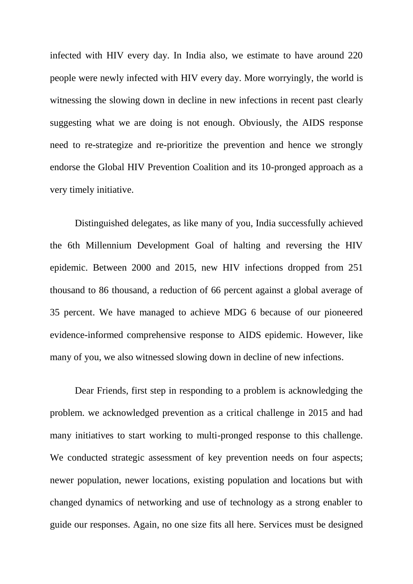infected with HIV every day. In India also, we estimate to have around 220 people were newly infected with HIV every day. More worryingly, the world is witnessing the slowing down in decline in new infections in recent past clearly suggesting what we are doing is not enough. Obviously, the AIDS response need to re-strategize and re-prioritize the prevention and hence we strongly endorse the Global HIV Prevention Coalition and its 10-pronged approach as a very timely initiative.

Distinguished delegates, as like many of you, India successfully achieved the 6th Millennium Development Goal of halting and reversing the HIV epidemic. Between 2000 and 2015, new HIV infections dropped from 251 thousand to 86 thousand, a reduction of 66 percent against a global average of 35 percent. We have managed to achieve MDG 6 because of our pioneered evidence-informed comprehensive response to AIDS epidemic. However, like many of you, we also witnessed slowing down in decline of new infections.

Dear Friends, first step in responding to a problem is acknowledging the problem. we acknowledged prevention as a critical challenge in 2015 and had many initiatives to start working to multi-pronged response to this challenge. We conducted strategic assessment of key prevention needs on four aspects; newer population, newer locations, existing population and locations but with changed dynamics of networking and use of technology as a strong enabler to guide our responses. Again, no one size fits all here. Services must be designed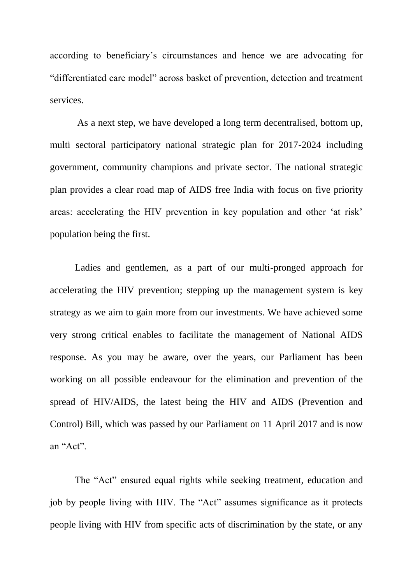according to beneficiary's circumstances and hence we are advocating for "differentiated care model" across basket of prevention, detection and treatment services.

As a next step, we have developed a long term decentralised, bottom up, multi sectoral participatory national strategic plan for 2017-2024 including government, community champions and private sector. The national strategic plan provides a clear road map of AIDS free India with focus on five priority areas: accelerating the HIV prevention in key population and other 'at risk' population being the first.

Ladies and gentlemen, as a part of our multi-pronged approach for accelerating the HIV prevention; stepping up the management system is key strategy as we aim to gain more from our investments. We have achieved some very strong critical enables to facilitate the management of National AIDS response. As you may be aware, over the years, our Parliament has been working on all possible endeavour for the elimination and prevention of the spread of HIV/AIDS, the latest being the HIV and AIDS (Prevention and Control) Bill, which was passed by our Parliament on 11 April 2017 and is now an "Act".

The "Act" ensured equal rights while seeking treatment, education and job by people living with HIV. The "Act" assumes significance as it protects people living with HIV from specific acts of discrimination by the state, or any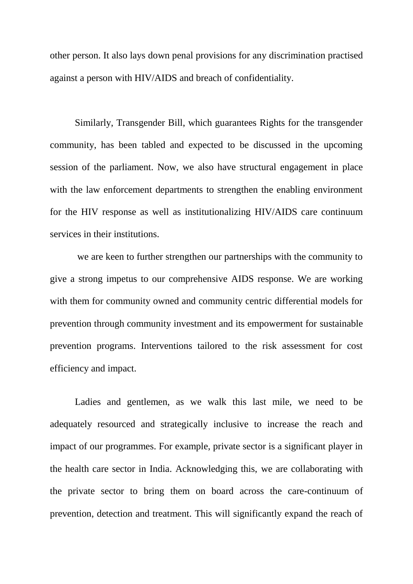other person. It also lays down penal provisions for any discrimination practised against a person with HIV/AIDS and breach of confidentiality.

Similarly, Transgender Bill, which guarantees Rights for the transgender community, has been tabled and expected to be discussed in the upcoming session of the parliament. Now, we also have structural engagement in place with the law enforcement departments to strengthen the enabling environment for the HIV response as well as institutionalizing HIV/AIDS care continuum services in their institutions.

we are keen to further strengthen our partnerships with the community to give a strong impetus to our comprehensive AIDS response. We are working with them for community owned and community centric differential models for prevention through community investment and its empowerment for sustainable prevention programs. Interventions tailored to the risk assessment for cost efficiency and impact.

Ladies and gentlemen, as we walk this last mile, we need to be adequately resourced and strategically inclusive to increase the reach and impact of our programmes. For example, private sector is a significant player in the health care sector in India. Acknowledging this, we are collaborating with the private sector to bring them on board across the care-continuum of prevention, detection and treatment. This will significantly expand the reach of